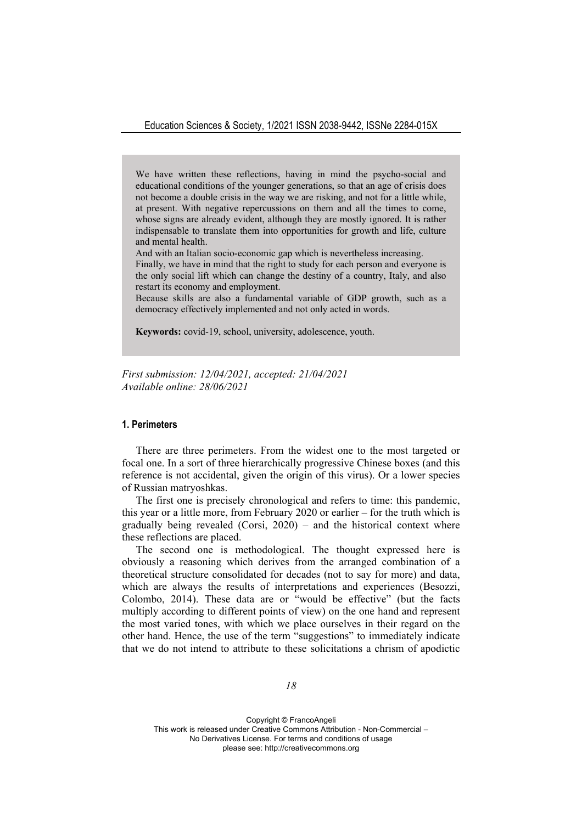We have written these reflections, having in mind the psycho-social and educational conditions of the younger generations, so that an age of crisis does not become a double crisis in the way we are risking, and not for a little while, at present. With negative repercussions on them and all the times to come, whose signs are already evident, although they are mostly ignored. It is rather indispensable to translate them into opportunities for growth and life, culture and mental health.

And with an Italian socio-economic gap which is nevertheless increasing.

Finally, we have in mind that the right to study for each person and everyone is the only social lift which can change the destiny of a country, Italy, and also restart its economy and employment.

Because skills are also a fundamental variable of GDP growth, such as a democracy effectively implemented and not only acted in words.

**Keywords:** covid-19, school, university, adolescence, youth.

*First submission: 12/03/2021, accepted: 21/04/2021 Available online: 28/06/2021*

# **1. Perimeters**

There are three perimeters. From the widest one to the most targeted or focal one. In a sort of three hierarchically progressive Chinese boxes (and this reference is not accidental, given the origin of this virus). Or a lower species of Russian matryoshkas.

The first one is precisely chronological and refers to time: this pandemic, this year or a little more, from February 2020 or earlier – for the truth which is gradually being revealed (Corsi,  $2020$ ) – and the historical context where these reflections are placed.

The second one is methodological. The thought expressed here is obviously a reasoning which derives from the arranged combination of a theoretical structure consolidated for decades (not to say for more) and data, which are always the results of interpretations and experiences (Besozzi, Colombo, 2014). These data are or "would be effective" (but the facts multiply according to different points of view) on the one hand and represent the most varied tones, with which we place ourselves in their regard on the other hand. Hence, the use of the term "suggestions" to immediately indicate that we do not intend to attribute to these solicitations a chrism of apodictic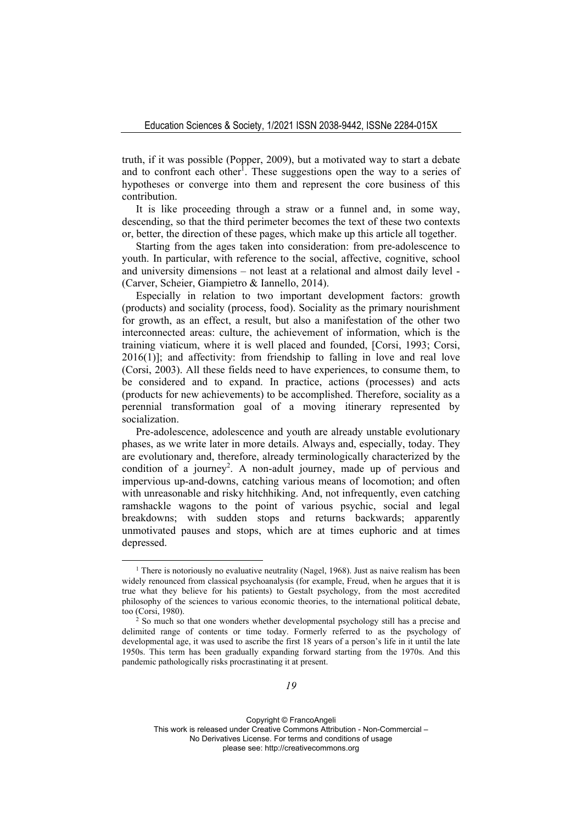truth, if it was possible (Popper, 2009), but a motivated way to start a debate and to confront each other<sup>1</sup>. These suggestions open the way to a series of hypotheses or converge into them and represent the core business of this contribution.

It is like proceeding through a straw or a funnel and, in some way, descending, so that the third perimeter becomes the text of these two contexts or, better, the direction of these pages, which make up this article all together.

Starting from the ages taken into consideration: from pre-adolescence to youth. In particular, with reference to the social, affective, cognitive, school and university dimensions – not least at a relational and almost daily level - (Carver, Scheier, Giampietro & Iannello, 2014).

Especially in relation to two important development factors: growth (products) and sociality (process, food). Sociality as the primary nourishment for growth, as an effect, a result, but also a manifestation of the other two interconnected areas: culture, the achievement of information, which is the training viaticum, where it is well placed and founded, [Corsi, 1993; Corsi, 2016(1)]; and affectivity: from friendship to falling in love and real love (Corsi, 2003). All these fields need to have experiences, to consume them, to be considered and to expand. In practice, actions (processes) and acts (products for new achievements) to be accomplished. Therefore, sociality as a perennial transformation goal of a moving itinerary represented by socialization.

Pre-adolescence, adolescence and youth are already unstable evolutionary phases, as we write later in more details. Always and, especially, today. They are evolutionary and, therefore, already terminologically characterized by the condition of a journey<sup>2</sup>. A non-adult journey, made up of pervious and impervious up-and-downs, catching various means of locomotion; and often with unreasonable and risky hitchhiking. And, not infrequently, even catching ramshackle wagons to the point of various psychic, social and legal breakdowns; with sudden stops and returns backwards; apparently unmotivated pauses and stops, which are at times euphoric and at times depressed.

<sup>&</sup>lt;sup>1</sup> There is notoriously no evaluative neutrality (Nagel, 1968). Just as naive realism has been widely renounced from classical psychoanalysis (for example, Freud, when he argues that it is true what they believe for his patients) to Gestalt psychology, from the most accredited philosophy of the sciences to various economic theories, to the international political debate,

too (Corsi, 1980).<br><sup>2</sup> So much so that one wonders whether developmental psychology still has a precise and delimited range of contents or time today. Formerly referred to as the psychology of developmental age, it was used to ascribe the first 18 years of a person's life in it until the late 1950s. This term has been gradually expanding forward starting from the 1970s. And this pandemic pathologically risks procrastinating it at present.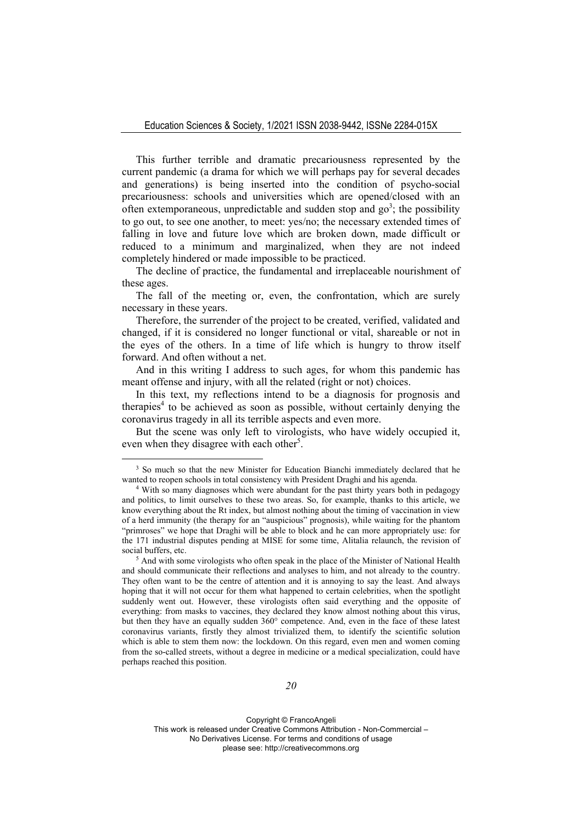This further terrible and dramatic precariousness represented by the current pandemic (a drama for which we will perhaps pay for several decades and generations) is being inserted into the condition of psycho-social precariousness: schools and universities which are opened/closed with an often extemporaneous, unpredictable and sudden stop and  $go^3$ ; the possibility to go out, to see one another, to meet: yes/no; the necessary extended times of falling in love and future love which are broken down, made difficult or reduced to a minimum and marginalized, when they are not indeed completely hindered or made impossible to be practiced.

The decline of practice, the fundamental and irreplaceable nourishment of these ages.

The fall of the meeting or, even, the confrontation, which are surely necessary in these years.

Therefore, the surrender of the project to be created, verified, validated and changed, if it is considered no longer functional or vital, shareable or not in the eyes of the others. In a time of life which is hungry to throw itself forward. And often without a net.

And in this writing I address to such ages, for whom this pandemic has meant offense and injury, with all the related (right or not) choices.

In this text, my reflections intend to be a diagnosis for prognosis and therapies<sup>4</sup> to be achieved as soon as possible, without certainly denying the coronavirus tragedy in all its terrible aspects and even more.

But the scene was only left to virologists, who have widely occupied it, even when they disagree with each other<sup>5</sup>.

<sup>&</sup>lt;sup>3</sup> So much so that the new Minister for Education Bianchi immediately declared that he wanted to reopen schools in total consistency with President Draghi and his agenda.<br><sup>4</sup> With so many diagnoses which were abundant for the past thirty years both in pedagogy

and politics, to limit ourselves to these two areas. So, for example, thanks to this article, we know everything about the Rt index, but almost nothing about the timing of vaccination in view of a herd immunity (the therapy for an "auspicious" prognosis), while waiting for the phantom "primroses" we hope that Draghi will be able to block and he can more appropriately use: for the 171 industrial disputes pending at MISE for some time, Alitalia relaunch, the revision of social buffers, etc.<br><sup>5</sup> And with some virologists who often speak in the place of the Minister of National Health

and should communicate their reflections and analyses to him, and not already to the country. They often want to be the centre of attention and it is annoying to say the least. And always hoping that it will not occur for them what happened to certain celebrities, when the spotlight suddenly went out. However, these virologists often said everything and the opposite of everything: from masks to vaccines, they declared they know almost nothing about this virus, but then they have an equally sudden 360° competence. And, even in the face of these latest coronavirus variants, firstly they almost trivialized them, to identify the scientific solution which is able to stem them now: the lockdown. On this regard, even men and women coming from the so-called streets, without a degree in medicine or a medical specialization, could have perhaps reached this position.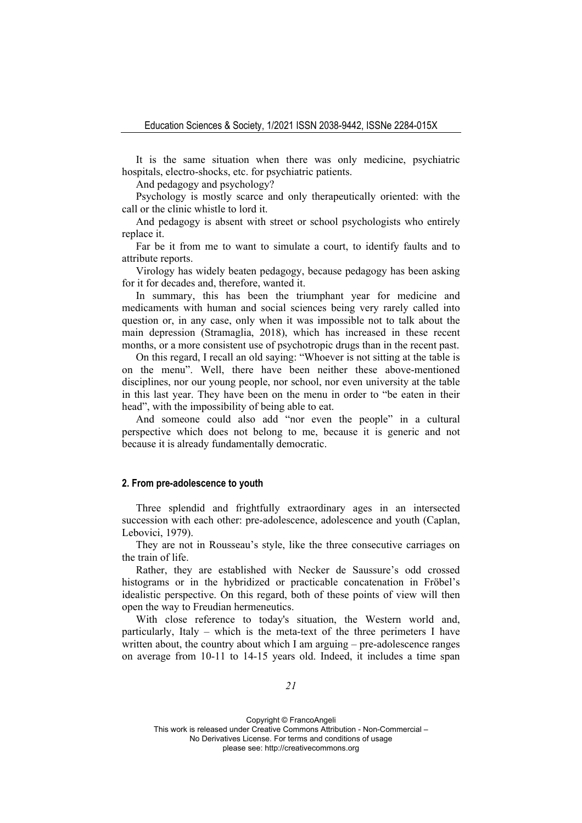It is the same situation when there was only medicine, psychiatric hospitals, electro-shocks, etc. for psychiatric patients.

And pedagogy and psychology?

Psychology is mostly scarce and only therapeutically oriented: with the call or the clinic whistle to lord it.

And pedagogy is absent with street or school psychologists who entirely replace it.

Far be it from me to want to simulate a court, to identify faults and to attribute reports.

Virology has widely beaten pedagogy, because pedagogy has been asking for it for decades and, therefore, wanted it.

In summary, this has been the triumphant year for medicine and medicaments with human and social sciences being very rarely called into question or, in any case, only when it was impossible not to talk about the main depression (Stramaglia, 2018), which has increased in these recent months, or a more consistent use of psychotropic drugs than in the recent past.

On this regard, I recall an old saying: "Whoever is not sitting at the table is on the menu". Well, there have been neither these above-mentioned disciplines, nor our young people, nor school, nor even university at the table in this last year. They have been on the menu in order to "be eaten in their head", with the impossibility of being able to eat.

And someone could also add "nor even the people" in a cultural perspective which does not belong to me, because it is generic and not because it is already fundamentally democratic.

# **2. From pre-adolescence to youth**

Three splendid and frightfully extraordinary ages in an intersected succession with each other: pre-adolescence, adolescence and youth (Caplan, Lebovici, 1979).

They are not in Rousseau's style, like the three consecutive carriages on the train of life.

Rather, they are established with Necker de Saussure's odd crossed histograms or in the hybridized or practicable concatenation in Fröbel's idealistic perspective. On this regard, both of these points of view will then open the way to Freudian hermeneutics.

With close reference to today's situation, the Western world and, particularly, Italy – which is the meta-text of the three perimeters I have written about, the country about which I am arguing  $-$  pre-adolescence ranges on average from 10-11 to 14-15 years old. Indeed, it includes a time span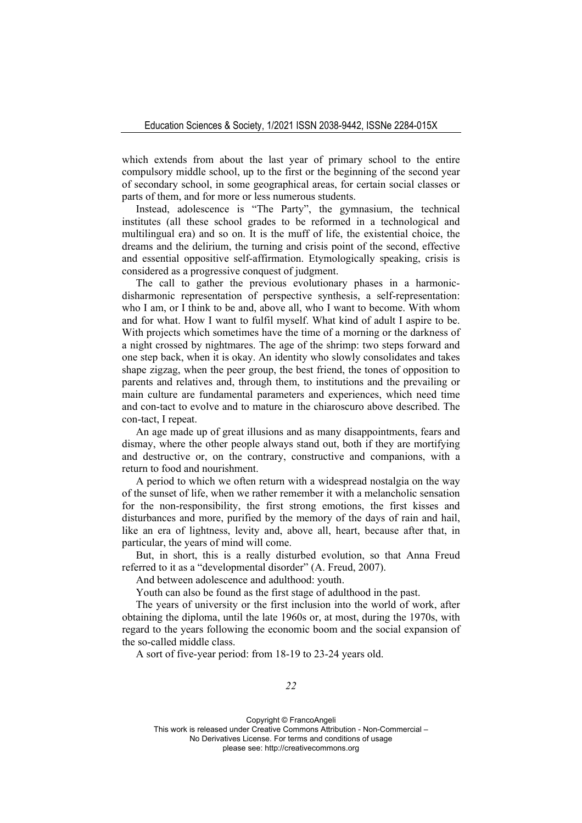which extends from about the last year of primary school to the entire compulsory middle school, up to the first or the beginning of the second year of secondary school, in some geographical areas, for certain social classes or parts of them, and for more or less numerous students.

Instead, adolescence is "The Party", the gymnasium, the technical institutes (all these school grades to be reformed in a technological and multilingual era) and so on. It is the muff of life, the existential choice, the dreams and the delirium, the turning and crisis point of the second, effective and essential oppositive self-affirmation. Etymologically speaking, crisis is considered as a progressive conquest of judgment.

The call to gather the previous evolutionary phases in a harmonicdisharmonic representation of perspective synthesis, a self-representation: who I am, or I think to be and, above all, who I want to become. With whom and for what. How I want to fulfil myself. What kind of adult I aspire to be. With projects which sometimes have the time of a morning or the darkness of a night crossed by nightmares. The age of the shrimp: two steps forward and one step back, when it is okay. An identity who slowly consolidates and takes shape zigzag, when the peer group, the best friend, the tones of opposition to parents and relatives and, through them, to institutions and the prevailing or main culture are fundamental parameters and experiences, which need time and con-tact to evolve and to mature in the chiaroscuro above described. The con-tact, I repeat.

An age made up of great illusions and as many disappointments, fears and dismay, where the other people always stand out, both if they are mortifying and destructive or, on the contrary, constructive and companions, with a return to food and nourishment.

A period to which we often return with a widespread nostalgia on the way of the sunset of life, when we rather remember it with a melancholic sensation for the non-responsibility, the first strong emotions, the first kisses and disturbances and more, purified by the memory of the days of rain and hail, like an era of lightness, levity and, above all, heart, because after that, in particular, the years of mind will come.

But, in short, this is a really disturbed evolution, so that Anna Freud referred to it as a "developmental disorder" (A. Freud, 2007).

And between adolescence and adulthood: youth.

Youth can also be found as the first stage of adulthood in the past.

The years of university or the first inclusion into the world of work, after obtaining the diploma, until the late 1960s or, at most, during the 1970s, with regard to the years following the economic boom and the social expansion of the so-called middle class.

A sort of five-year period: from 18-19 to 23-24 years old.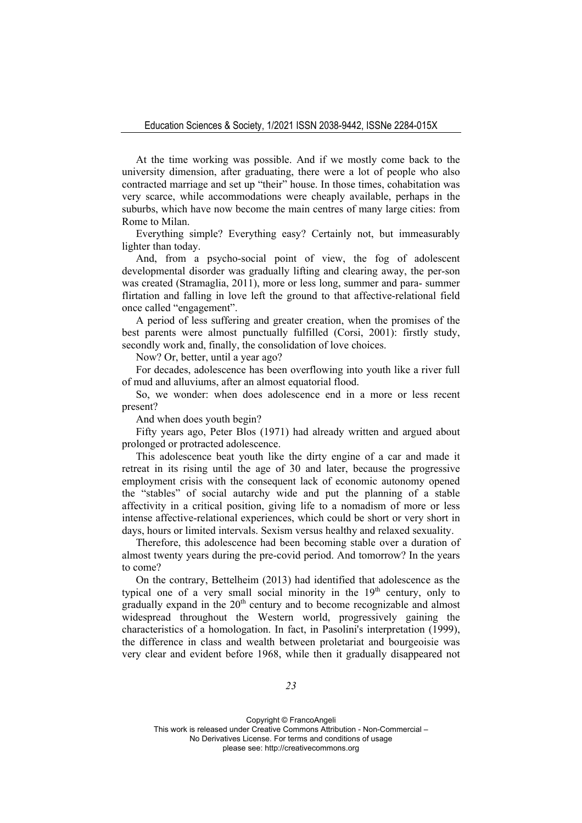At the time working was possible. And if we mostly come back to the university dimension, after graduating, there were a lot of people who also contracted marriage and set up "their" house. In those times, cohabitation was very scarce, while accommodations were cheaply available, perhaps in the suburbs, which have now become the main centres of many large cities: from Rome to Milan.

Everything simple? Everything easy? Certainly not, but immeasurably lighter than today.

And, from a psycho-social point of view, the fog of adolescent developmental disorder was gradually lifting and clearing away, the per-son was created (Stramaglia, 2011), more or less long, summer and para- summer flirtation and falling in love left the ground to that affective-relational field once called "engagement".

A period of less suffering and greater creation, when the promises of the best parents were almost punctually fulfilled (Corsi, 2001): firstly study, secondly work and, finally, the consolidation of love choices.

Now? Or, better, until a year ago?

For decades, adolescence has been overflowing into youth like a river full of mud and alluviums, after an almost equatorial flood.

So, we wonder: when does adolescence end in a more or less recent present?

And when does youth begin?

Fifty years ago, Peter Blos (1971) had already written and argued about prolonged or protracted adolescence.

This adolescence beat youth like the dirty engine of a car and made it retreat in its rising until the age of 30 and later, because the progressive employment crisis with the consequent lack of economic autonomy opened the "stables" of social autarchy wide and put the planning of a stable affectivity in a critical position, giving life to a nomadism of more or less intense affective-relational experiences, which could be short or very short in days, hours or limited intervals. Sexism versus healthy and relaxed sexuality.

Therefore, this adolescence had been becoming stable over a duration of almost twenty years during the pre-covid period. And tomorrow? In the years to come?

On the contrary, Bettelheim (2013) had identified that adolescence as the typical one of a very small social minority in the  $19<sup>th</sup>$  century, only to  $\frac{1}{2}$  gradually expand in the  $20<sup>th</sup>$  century and to become recognizable and almost widespread throughout the Western world, progressively gaining the characteristics of a homologation. In fact, in Pasolini's interpretation (1999), the difference in class and wealth between proletariat and bourgeoisie was very clear and evident before 1968, while then it gradually disappeared not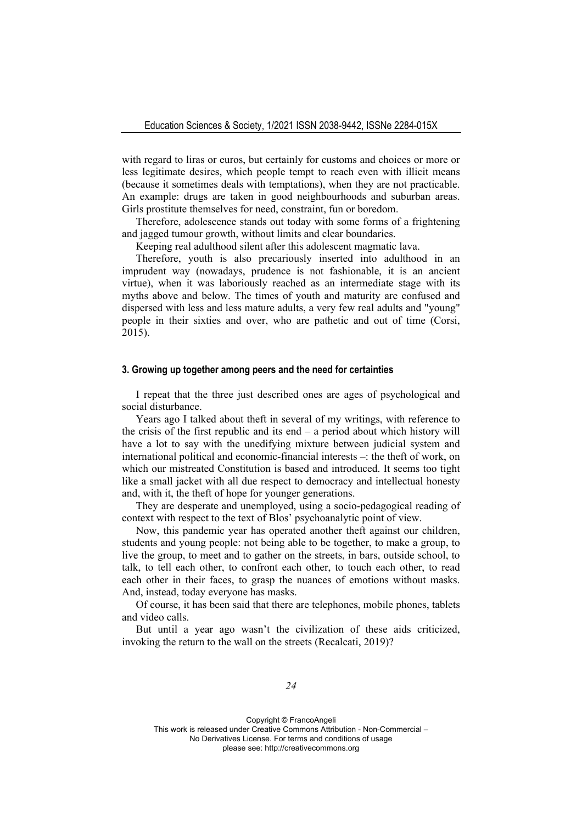with regard to liras or euros, but certainly for customs and choices or more or less legitimate desires, which people tempt to reach even with illicit means (because it sometimes deals with temptations), when they are not practicable. An example: drugs are taken in good neighbourhoods and suburban areas. Girls prostitute themselves for need, constraint, fun or boredom.

Therefore, adolescence stands out today with some forms of a frightening and jagged tumour growth, without limits and clear boundaries.

Keeping real adulthood silent after this adolescent magmatic lava.

Therefore, youth is also precariously inserted into adulthood in an imprudent way (nowadays, prudence is not fashionable, it is an ancient virtue), when it was laboriously reached as an intermediate stage with its myths above and below. The times of youth and maturity are confused and dispersed with less and less mature adults, a very few real adults and "young" people in their sixties and over, who are pathetic and out of time (Corsi, 2015).

### **3. Growing up together among peers and the need for certainties**

I repeat that the three just described ones are ages of psychological and social disturbance.

Years ago I talked about theft in several of my writings, with reference to the crisis of the first republic and its end – a period about which history will have a lot to say with the unedifying mixture between judicial system and international political and economic-financial interests –: the theft of work, on which our mistreated Constitution is based and introduced. It seems too tight like a small jacket with all due respect to democracy and intellectual honesty and, with it, the theft of hope for younger generations.

They are desperate and unemployed, using a socio-pedagogical reading of context with respect to the text of Blos' psychoanalytic point of view.

Now, this pandemic year has operated another theft against our children, students and young people: not being able to be together, to make a group, to live the group, to meet and to gather on the streets, in bars, outside school, to talk, to tell each other, to confront each other, to touch each other, to read each other in their faces, to grasp the nuances of emotions without masks. And, instead, today everyone has masks.

Of course, it has been said that there are telephones, mobile phones, tablets and video calls.

But until a year ago wasn't the civilization of these aids criticized, invoking the return to the wall on the streets (Recalcati, 2019)?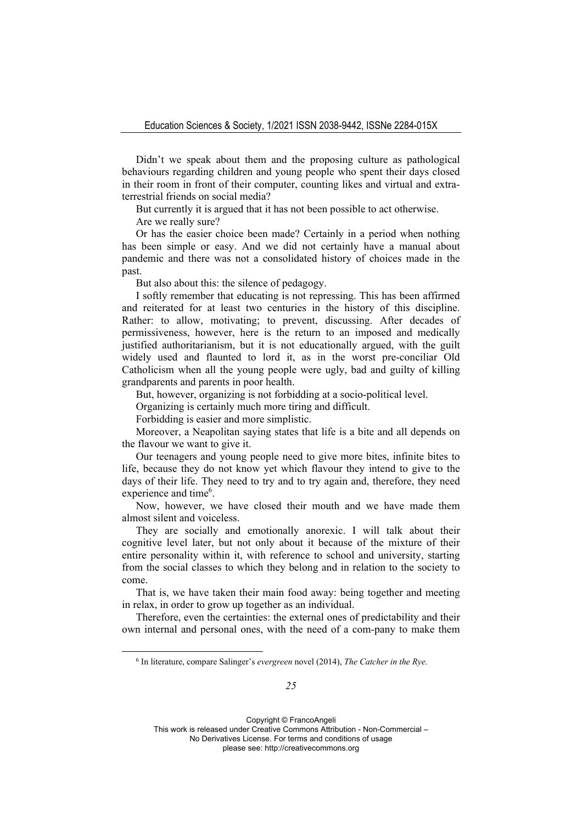Didn't we speak about them and the proposing culture as pathological behaviours regarding children and young people who spent their days closed in their room in front of their computer, counting likes and virtual and extraterrestrial friends on social media?

But currently it is argued that it has not been possible to act otherwise.

Are we really sure?

Or has the easier choice been made? Certainly in a period when nothing has been simple or easy. And we did not certainly have a manual about pandemic and there was not a consolidated history of choices made in the past.

But also about this: the silence of pedagogy.

I softly remember that educating is not repressing. This has been affirmed and reiterated for at least two centuries in the history of this discipline. Rather: to allow, motivating; to prevent, discussing. After decades of permissiveness, however, here is the return to an imposed and medically justified authoritarianism, but it is not educationally argued, with the guilt widely used and flaunted to lord it, as in the worst pre-conciliar Old Catholicism when all the young people were ugly, bad and guilty of killing grandparents and parents in poor health.

But, however, organizing is not forbidding at a socio-political level.

Organizing is certainly much more tiring and difficult.

Forbidding is easier and more simplistic.

Moreover, a Neapolitan saying states that life is a bite and all depends on the flavour we want to give it.

Our teenagers and young people need to give more bites, infinite bites to life, because they do not know yet which flavour they intend to give to the days of their life. They need to try and to try again and, therefore, they need experience and time<sup>6</sup>.

Now, however, we have closed their mouth and we have made them almost silent and voiceless.

They are socially and emotionally anorexic. I will talk about their cognitive level later, but not only about it because of the mixture of their entire personality within it, with reference to school and university, starting from the social classes to which they belong and in relation to the society to come.

That is, we have taken their main food away: being together and meeting in relax, in order to grow up together as an individual.

Therefore, even the certainties: the external ones of predictability and their own internal and personal ones, with the need of a com-pany to make them

<sup>6</sup> In literature, compare Salinger's *evergreen* novel (2014), *The Catcher in the Rye*.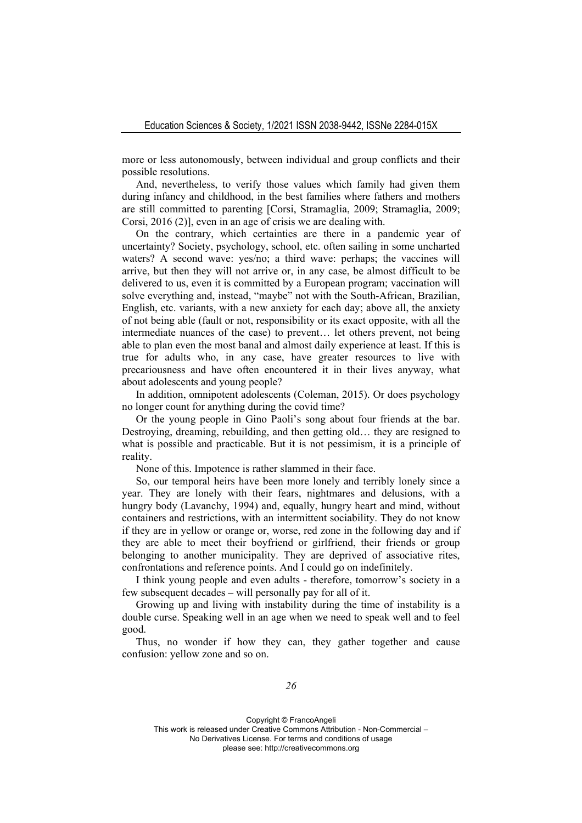more or less autonomously, between individual and group conflicts and their possible resolutions.

And, nevertheless, to verify those values which family had given them during infancy and childhood, in the best families where fathers and mothers are still committed to parenting [Corsi, Stramaglia, 2009; Stramaglia, 2009; Corsi, 2016 (2)], even in an age of crisis we are dealing with.

On the contrary, which certainties are there in a pandemic year of uncertainty? Society, psychology, school, etc. often sailing in some uncharted waters? A second wave: yes/no; a third wave: perhaps; the vaccines will arrive, but then they will not arrive or, in any case, be almost difficult to be delivered to us, even it is committed by a European program; vaccination will solve everything and, instead, "maybe" not with the South-African, Brazilian, English, etc. variants, with a new anxiety for each day; above all, the anxiety of not being able (fault or not, responsibility or its exact opposite, with all the intermediate nuances of the case) to prevent… let others prevent, not being able to plan even the most banal and almost daily experience at least. If this is true for adults who, in any case, have greater resources to live with precariousness and have often encountered it in their lives anyway, what about adolescents and young people?

In addition, omnipotent adolescents (Coleman, 2015). Or does psychology no longer count for anything during the covid time?

Or the young people in Gino Paoli's song about four friends at the bar. Destroying, dreaming, rebuilding, and then getting old… they are resigned to what is possible and practicable. But it is not pessimism, it is a principle of reality.

None of this. Impotence is rather slammed in their face.

So, our temporal heirs have been more lonely and terribly lonely since a year. They are lonely with their fears, nightmares and delusions, with a hungry body (Lavanchy, 1994) and, equally, hungry heart and mind, without containers and restrictions, with an intermittent sociability. They do not know if they are in yellow or orange or, worse, red zone in the following day and if they are able to meet their boyfriend or girlfriend, their friends or group belonging to another municipality. They are deprived of associative rites, confrontations and reference points. And I could go on indefinitely.

I think young people and even adults - therefore, tomorrow's society in a few subsequent decades – will personally pay for all of it.

Growing up and living with instability during the time of instability is a double curse. Speaking well in an age when we need to speak well and to feel good.

Thus, no wonder if how they can, they gather together and cause confusion: yellow zone and so on.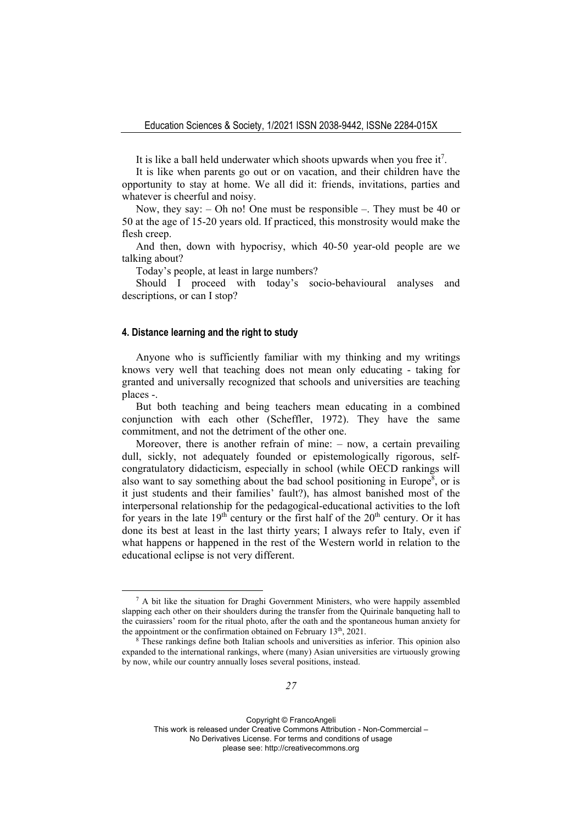It is like a ball held underwater which shoots upwards when you free it<sup>7</sup>.

It is like when parents go out or on vacation, and their children have the opportunity to stay at home. We all did it: friends, invitations, parties and whatever is cheerful and noisy.

Now, they say: – Oh no! One must be responsible –. They must be 40 or 50 at the age of 15-20 years old. If practiced, this monstrosity would make the flesh creep.

And then, down with hypocrisy, which 40-50 year-old people are we talking about?

Today's people, at least in large numbers?

Should I proceed with today's socio-behavioural analyses and descriptions, or can I stop?

# **4. Distance learning and the right to study**

Anyone who is sufficiently familiar with my thinking and my writings knows very well that teaching does not mean only educating - taking for granted and universally recognized that schools and universities are teaching places -.

But both teaching and being teachers mean educating in a combined conjunction with each other (Scheffler, 1972). They have the same commitment, and not the detriment of the other one.

Moreover, there is another refrain of mine: – now, a certain prevailing dull, sickly, not adequately founded or epistemologically rigorous, selfcongratulatory didacticism, especially in school (while OECD rankings will also want to say something about the bad school positioning in Europe<sup>8</sup>, or is it just students and their families' fault?), has almost banished most of the interpersonal relationship for the pedagogical-educational activities to the loft for years in the late  $19<sup>th</sup>$  century or the first half of the  $20<sup>th</sup>$  century. Or it has done its best at least in the last thirty years; I always refer to Italy, even if what happens or happened in the rest of the Western world in relation to the educational eclipse is not very different.

 $<sup>7</sup>$  A bit like the situation for Draghi Government Ministers, who were happily assembled</sup> slapping each other on their shoulders during the transfer from the Quirinale banqueting hall to the cuirassiers' room for the ritual photo, after the oath and the spontaneous human anxiety for the appointment or the confirmation obtained on February  $13<sup>th</sup>$ , 2021.<br><sup>8</sup> These rankings define both Italian schools and universities as inferior. This opinion also

expanded to the international rankings, where (many) Asian universities are virtuously growing by now, while our country annually loses several positions, instead.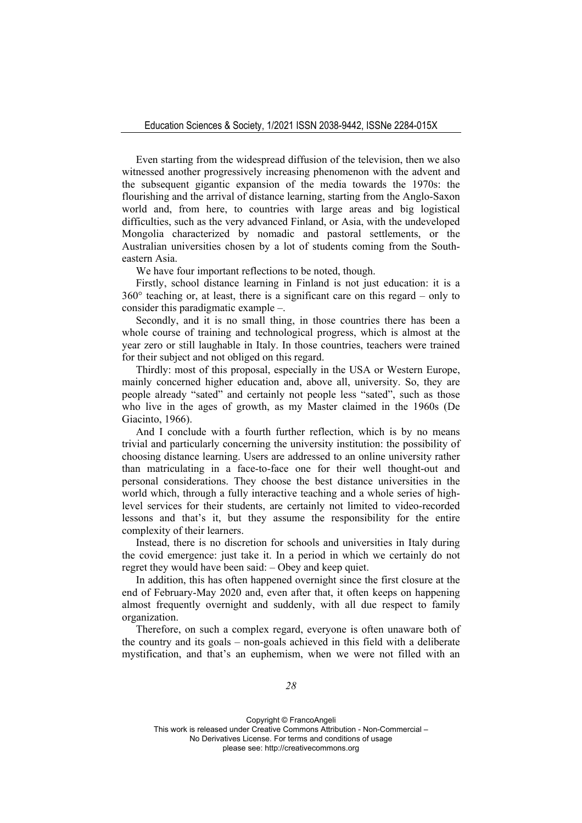Even starting from the widespread diffusion of the television, then we also witnessed another progressively increasing phenomenon with the advent and the subsequent gigantic expansion of the media towards the 1970s: the flourishing and the arrival of distance learning, starting from the Anglo-Saxon world and, from here, to countries with large areas and big logistical difficulties, such as the very advanced Finland, or Asia, with the undeveloped Mongolia characterized by nomadic and pastoral settlements, or the Australian universities chosen by a lot of students coming from the Southeastern Asia.

We have four important reflections to be noted, though.

Firstly, school distance learning in Finland is not just education: it is a  $360^{\circ}$  teaching or, at least, there is a significant care on this regard – only to consider this paradigmatic example –.

Secondly, and it is no small thing, in those countries there has been a whole course of training and technological progress, which is almost at the year zero or still laughable in Italy. In those countries, teachers were trained for their subject and not obliged on this regard.

Thirdly: most of this proposal, especially in the USA or Western Europe, mainly concerned higher education and, above all, university. So, they are people already "sated" and certainly not people less "sated", such as those who live in the ages of growth, as my Master claimed in the 1960s (De Giacinto, 1966).

And I conclude with a fourth further reflection, which is by no means trivial and particularly concerning the university institution: the possibility of choosing distance learning. Users are addressed to an online university rather than matriculating in a face-to-face one for their well thought-out and personal considerations. They choose the best distance universities in the world which, through a fully interactive teaching and a whole series of highlevel services for their students, are certainly not limited to video-recorded lessons and that's it, but they assume the responsibility for the entire complexity of their learners.

Instead, there is no discretion for schools and universities in Italy during the covid emergence: just take it. In a period in which we certainly do not regret they would have been said: – Obey and keep quiet.

In addition, this has often happened overnight since the first closure at the end of February-May 2020 and, even after that, it often keeps on happening almost frequently overnight and suddenly, with all due respect to family organization.

Therefore, on such a complex regard, everyone is often unaware both of the country and its goals – non-goals achieved in this field with a deliberate mystification, and that's an euphemism, when we were not filled with an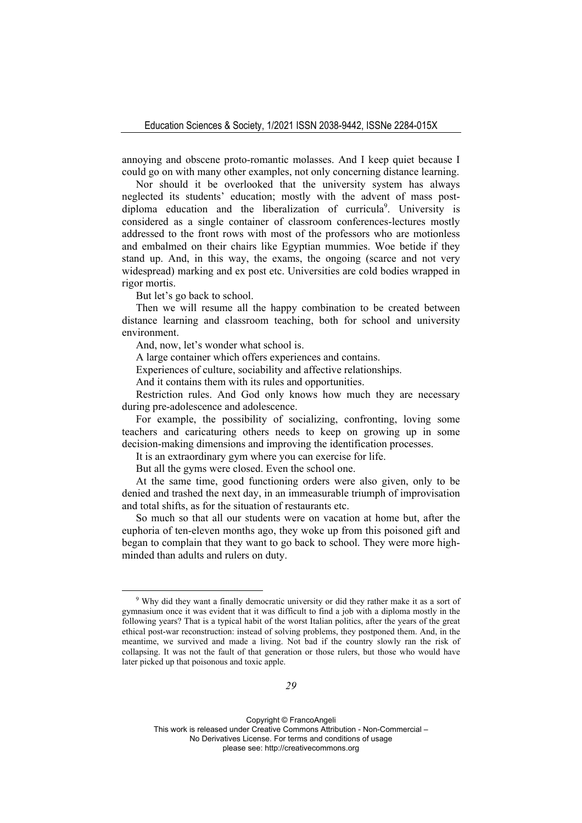annoying and obscene proto-romantic molasses. And I keep quiet because I could go on with many other examples, not only concerning distance learning.

Nor should it be overlooked that the university system has always neglected its students' education; mostly with the advent of mass postdiploma education and the liberalization of curricula<sup>9</sup>. University is considered as a single container of classroom conferences-lectures mostly addressed to the front rows with most of the professors who are motionless and embalmed on their chairs like Egyptian mummies. Woe betide if they stand up. And, in this way, the exams, the ongoing (scarce and not very widespread) marking and ex post etc. Universities are cold bodies wrapped in rigor mortis.

But let's go back to school.

Then we will resume all the happy combination to be created between distance learning and classroom teaching, both for school and university environment.

And, now, let's wonder what school is.

A large container which offers experiences and contains.

Experiences of culture, sociability and affective relationships.

And it contains them with its rules and opportunities.

Restriction rules. And God only knows how much they are necessary during pre-adolescence and adolescence.

For example, the possibility of socializing, confronting, loving some teachers and caricaturing others needs to keep on growing up in some decision-making dimensions and improving the identification processes.

It is an extraordinary gym where you can exercise for life.

But all the gyms were closed. Even the school one.

At the same time, good functioning orders were also given, only to be denied and trashed the next day, in an immeasurable triumph of improvisation and total shifts, as for the situation of restaurants etc.

So much so that all our students were on vacation at home but, after the euphoria of ten-eleven months ago, they woke up from this poisoned gift and began to complain that they want to go back to school. They were more highminded than adults and rulers on duty.

<sup>9</sup> Why did they want a finally democratic university or did they rather make it as a sort of gymnasium once it was evident that it was difficult to find a job with a diploma mostly in the following years? That is a typical habit of the worst Italian politics, after the years of the great ethical post-war reconstruction: instead of solving problems, they postponed them. And, in the meantime, we survived and made a living. Not bad if the country slowly ran the risk of collapsing. It was not the fault of that generation or those rulers, but those who would have later picked up that poisonous and toxic apple.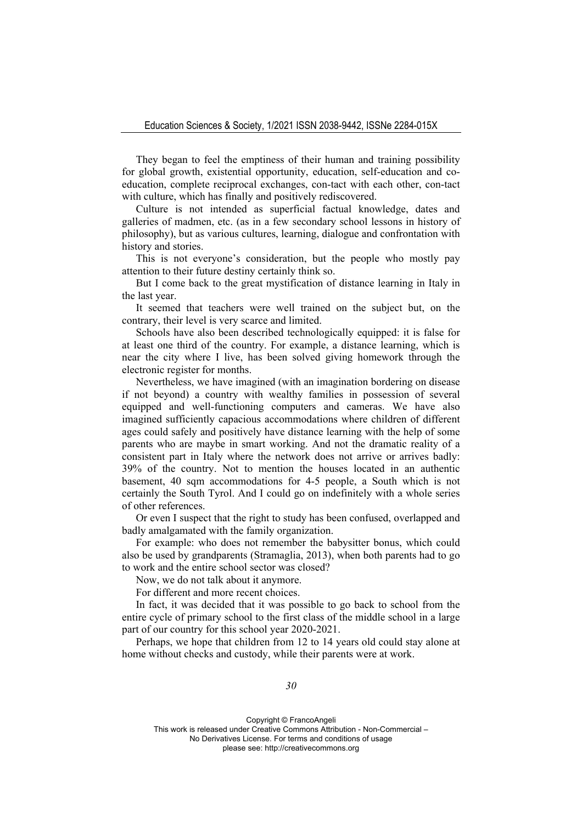They began to feel the emptiness of their human and training possibility for global growth, existential opportunity, education, self-education and coeducation, complete reciprocal exchanges, con-tact with each other, con-tact with culture, which has finally and positively rediscovered.

Culture is not intended as superficial factual knowledge, dates and galleries of madmen, etc. (as in a few secondary school lessons in history of philosophy), but as various cultures, learning, dialogue and confrontation with history and stories.

This is not everyone's consideration, but the people who mostly pay attention to their future destiny certainly think so.

But I come back to the great mystification of distance learning in Italy in the last year.

It seemed that teachers were well trained on the subject but, on the contrary, their level is very scarce and limited.

Schools have also been described technologically equipped: it is false for at least one third of the country. For example, a distance learning, which is near the city where I live, has been solved giving homework through the electronic register for months.

Nevertheless, we have imagined (with an imagination bordering on disease if not beyond) a country with wealthy families in possession of several equipped and well-functioning computers and cameras. We have also imagined sufficiently capacious accommodations where children of different ages could safely and positively have distance learning with the help of some parents who are maybe in smart working. And not the dramatic reality of a consistent part in Italy where the network does not arrive or arrives badly: 39% of the country. Not to mention the houses located in an authentic basement, 40 sqm accommodations for 4-5 people, a South which is not certainly the South Tyrol. And I could go on indefinitely with a whole series of other references.

Or even I suspect that the right to study has been confused, overlapped and badly amalgamated with the family organization.

For example: who does not remember the babysitter bonus, which could also be used by grandparents (Stramaglia, 2013), when both parents had to go to work and the entire school sector was closed?

Now, we do not talk about it anymore.

For different and more recent choices.

In fact, it was decided that it was possible to go back to school from the entire cycle of primary school to the first class of the middle school in a large part of our country for this school year 2020-2021.

Perhaps, we hope that children from 12 to 14 years old could stay alone at home without checks and custody, while their parents were at work.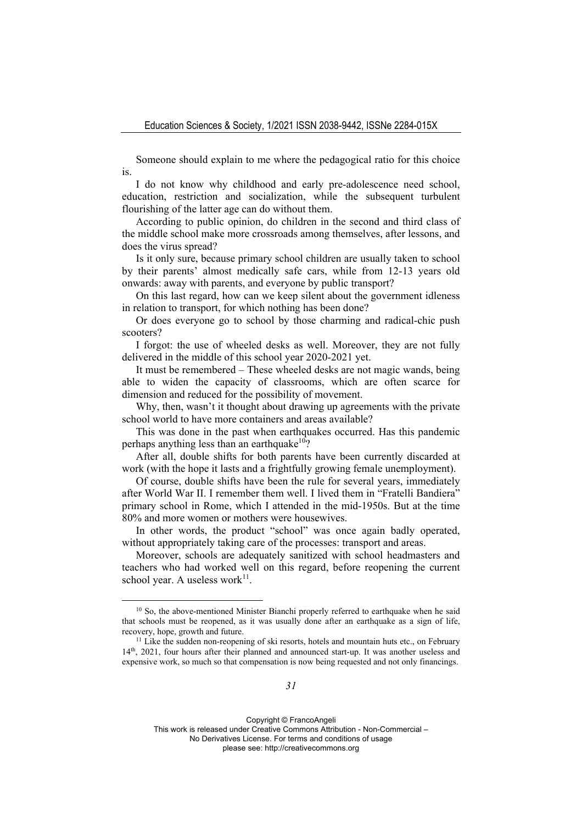Someone should explain to me where the pedagogical ratio for this choice is.

I do not know why childhood and early pre-adolescence need school, education, restriction and socialization, while the subsequent turbulent flourishing of the latter age can do without them.

According to public opinion, do children in the second and third class of the middle school make more crossroads among themselves, after lessons, and does the virus spread?

Is it only sure, because primary school children are usually taken to school by their parents' almost medically safe cars, while from 12-13 years old onwards: away with parents, and everyone by public transport?

On this last regard, how can we keep silent about the government idleness in relation to transport, for which nothing has been done?

Or does everyone go to school by those charming and radical-chic push scooters?

I forgot: the use of wheeled desks as well. Moreover, they are not fully delivered in the middle of this school year 2020-2021 yet.

It must be remembered – These wheeled desks are not magic wands, being able to widen the capacity of classrooms, which are often scarce for dimension and reduced for the possibility of movement.

Why, then, wasn't it thought about drawing up agreements with the private school world to have more containers and areas available?

This was done in the past when earthquakes occurred. Has this pandemic perhaps anything less than an earthquake<sup>10</sup>?

After all, double shifts for both parents have been currently discarded at work (with the hope it lasts and a frightfully growing female unemployment).

Of course, double shifts have been the rule for several years, immediately after World War II. I remember them well. I lived them in "Fratelli Bandiera" primary school in Rome, which I attended in the mid-1950s. But at the time 80% and more women or mothers were housewives.

In other words, the product "school" was once again badly operated, without appropriately taking care of the processes: transport and areas.

Moreover, schools are adequately sanitized with school headmasters and teachers who had worked well on this regard, before reopening the current school year. A useless work $11$ .

Copyright © FrancoAngeli

This work is released under Creative Commons Attribution - Non-Commercial –

No Derivatives License. For terms and conditions of usage

please see: http://creativecommons.org

<sup>&</sup>lt;sup>10</sup> So, the above-mentioned Minister Bianchi properly referred to earthquake when he said that schools must be reopened, as it was usually done after an earthquake as a sign of life, recovery, hope, growth and future.<br><sup>11</sup> Like the sudden non-reopening of ski resorts, hotels and mountain huts etc., on February

<sup>14</sup>th, 2021, four hours after their planned and announced start-up. It was another useless and expensive work, so much so that compensation is now being requested and not only financings.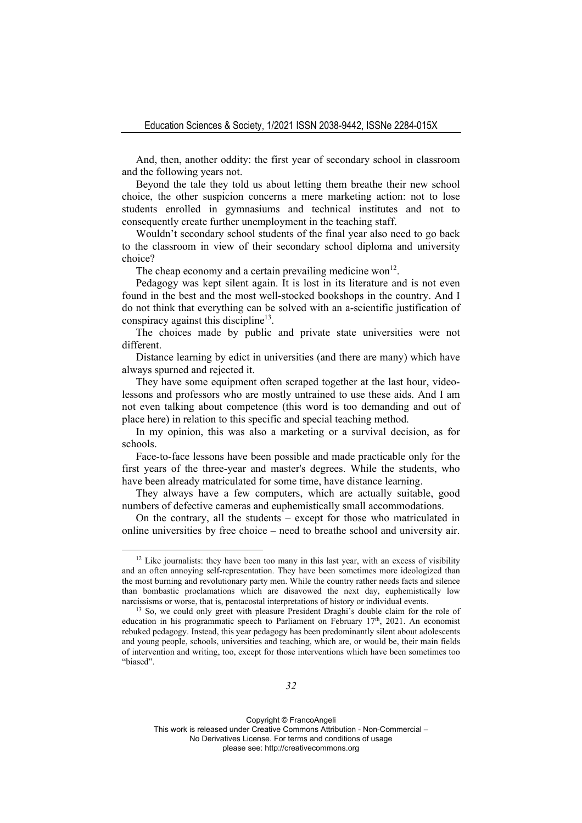And, then, another oddity: the first year of secondary school in classroom and the following years not.

Beyond the tale they told us about letting them breathe their new school choice, the other suspicion concerns a mere marketing action: not to lose students enrolled in gymnasiums and technical institutes and not to consequently create further unemployment in the teaching staff.

Wouldn't secondary school students of the final year also need to go back to the classroom in view of their secondary school diploma and university choice?

The cheap economy and a certain prevailing medicine won<sup>12</sup>.

Pedagogy was kept silent again. It is lost in its literature and is not even found in the best and the most well-stocked bookshops in the country. And I do not think that everything can be solved with an a-scientific justification of conspiracy against this discipline<sup>13</sup>.

The choices made by public and private state universities were not different.

Distance learning by edict in universities (and there are many) which have always spurned and rejected it.

They have some equipment often scraped together at the last hour, videolessons and professors who are mostly untrained to use these aids. And I am not even talking about competence (this word is too demanding and out of place here) in relation to this specific and special teaching method.

In my opinion, this was also a marketing or a survival decision, as for schools.

Face-to-face lessons have been possible and made practicable only for the first years of the three-year and master's degrees. While the students, who have been already matriculated for some time, have distance learning.

They always have a few computers, which are actually suitable, good numbers of defective cameras and euphemistically small accommodations.

On the contrary, all the students – except for those who matriculated in online universities by free choice – need to breathe school and university air.

 $12$  Like journalists: they have been too many in this last year, with an excess of visibility and an often annoying self-representation. They have been sometimes more ideologized than the most burning and revolutionary party men. While the country rather needs facts and silence than bombastic proclamations which are disavowed the next day, euphemistically low narcissisms or worse, that is, pentacostal interpretations of history or individual events.<br><sup>13</sup> So, we could only greet with pleasure President Draghi's double claim for the role of

education in his programmatic speech to Parliament on February  $17<sup>th</sup>$ , 2021. An economist rebuked pedagogy. Instead, this year pedagogy has been predominantly silent about adolescents and young people, schools, universities and teaching, which are, or would be, their main fields of intervention and writing, too, except for those interventions which have been sometimes too "biased".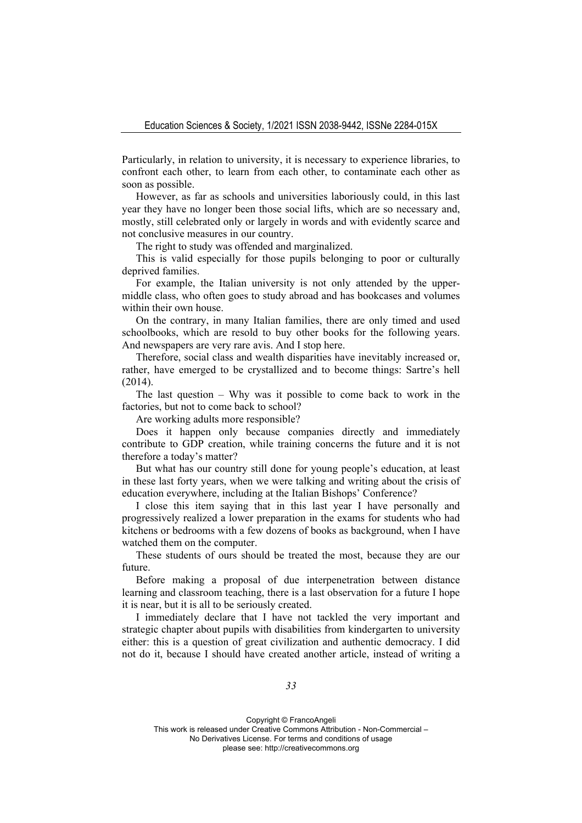Particularly, in relation to university, it is necessary to experience libraries, to confront each other, to learn from each other, to contaminate each other as soon as possible.

However, as far as schools and universities laboriously could, in this last year they have no longer been those social lifts, which are so necessary and, mostly, still celebrated only or largely in words and with evidently scarce and not conclusive measures in our country.

The right to study was offended and marginalized.

This is valid especially for those pupils belonging to poor or culturally deprived families.

For example, the Italian university is not only attended by the uppermiddle class, who often goes to study abroad and has bookcases and volumes within their own house.

On the contrary, in many Italian families, there are only timed and used schoolbooks, which are resold to buy other books for the following years. And newspapers are very rare avis. And I stop here.

Therefore, social class and wealth disparities have inevitably increased or, rather, have emerged to be crystallized and to become things: Sartre's hell (2014).

The last question – Why was it possible to come back to work in the factories, but not to come back to school?

Are working adults more responsible?

Does it happen only because companies directly and immediately contribute to GDP creation, while training concerns the future and it is not therefore a today's matter?

But what has our country still done for young people's education, at least in these last forty years, when we were talking and writing about the crisis of education everywhere, including at the Italian Bishops' Conference?

I close this item saying that in this last year I have personally and progressively realized a lower preparation in the exams for students who had kitchens or bedrooms with a few dozens of books as background, when I have watched them on the computer.

These students of ours should be treated the most, because they are our future.

Before making a proposal of due interpenetration between distance learning and classroom teaching, there is a last observation for a future I hope it is near, but it is all to be seriously created.

I immediately declare that I have not tackled the very important and strategic chapter about pupils with disabilities from kindergarten to university either: this is a question of great civilization and authentic democracy. I did not do it, because I should have created another article, instead of writing a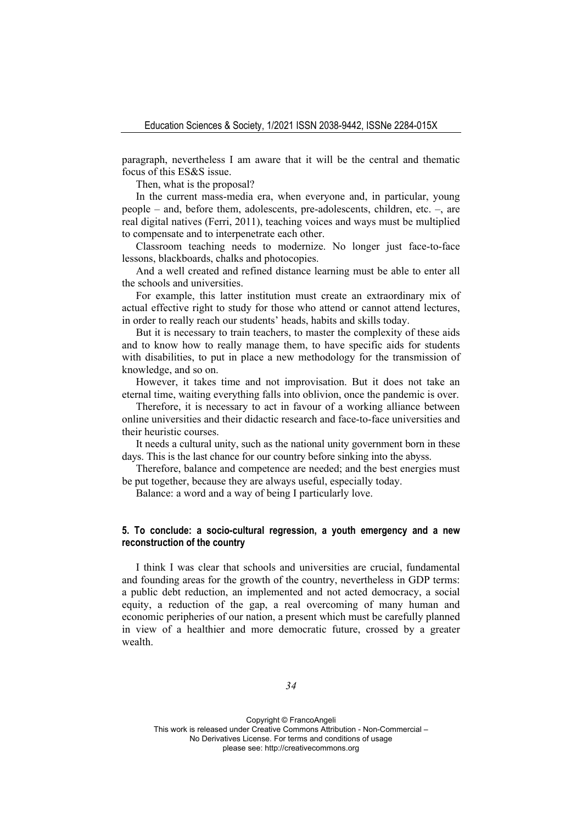paragraph, nevertheless I am aware that it will be the central and thematic focus of this ES&S issue.

Then, what is the proposal?

In the current mass-media era, when everyone and, in particular, young people – and, before them, adolescents, pre-adolescents, children, etc. –, are real digital natives (Ferri, 2011), teaching voices and ways must be multiplied to compensate and to interpenetrate each other.

Classroom teaching needs to modernize. No longer just face-to-face lessons, blackboards, chalks and photocopies.

And a well created and refined distance learning must be able to enter all the schools and universities.

For example, this latter institution must create an extraordinary mix of actual effective right to study for those who attend or cannot attend lectures, in order to really reach our students' heads, habits and skills today.

But it is necessary to train teachers, to master the complexity of these aids and to know how to really manage them, to have specific aids for students with disabilities, to put in place a new methodology for the transmission of knowledge, and so on.

However, it takes time and not improvisation. But it does not take an eternal time, waiting everything falls into oblivion, once the pandemic is over.

Therefore, it is necessary to act in favour of a working alliance between online universities and their didactic research and face-to-face universities and their heuristic courses.

It needs a cultural unity, such as the national unity government born in these days. This is the last chance for our country before sinking into the abyss.

Therefore, balance and competence are needed; and the best energies must be put together, because they are always useful, especially today.

Balance: a word and a way of being I particularly love.

# **5. To conclude: a socio-cultural regression, a youth emergency and a new reconstruction of the country**

I think I was clear that schools and universities are crucial, fundamental and founding areas for the growth of the country, nevertheless in GDP terms: a public debt reduction, an implemented and not acted democracy, a social equity, a reduction of the gap, a real overcoming of many human and economic peripheries of our nation, a present which must be carefully planned in view of a healthier and more democratic future, crossed by a greater wealth.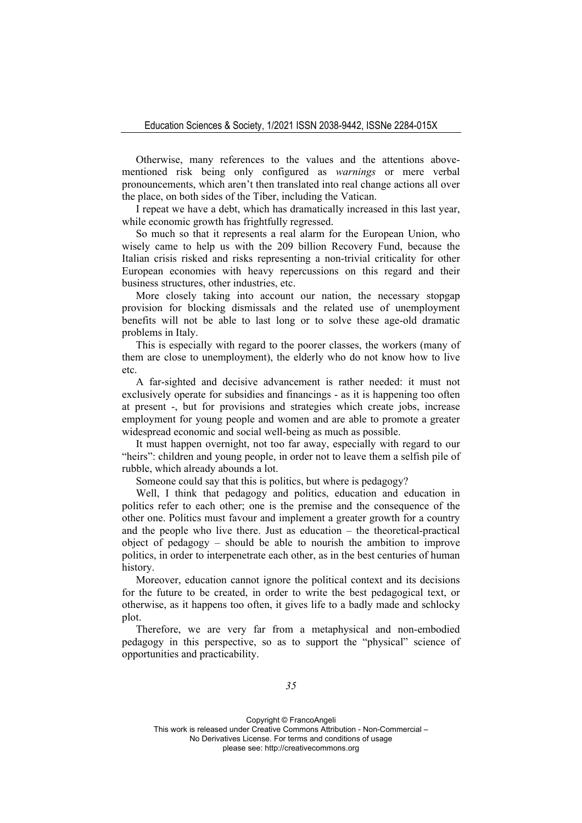Otherwise, many references to the values and the attentions abovementioned risk being only configured as *warnings* or mere verbal pronouncements, which aren't then translated into real change actions all over the place, on both sides of the Tiber, including the Vatican.

I repeat we have a debt, which has dramatically increased in this last year, while economic growth has frightfully regressed.

So much so that it represents a real alarm for the European Union, who wisely came to help us with the 209 billion Recovery Fund, because the Italian crisis risked and risks representing a non-trivial criticality for other European economies with heavy repercussions on this regard and their business structures, other industries, etc.

More closely taking into account our nation, the necessary stopgap provision for blocking dismissals and the related use of unemployment benefits will not be able to last long or to solve these age-old dramatic problems in Italy.

This is especially with regard to the poorer classes, the workers (many of them are close to unemployment), the elderly who do not know how to live etc.

A far-sighted and decisive advancement is rather needed: it must not exclusively operate for subsidies and financings - as it is happening too often at present -, but for provisions and strategies which create jobs, increase employment for young people and women and are able to promote a greater widespread economic and social well-being as much as possible.

It must happen overnight, not too far away, especially with regard to our "heirs": children and young people, in order not to leave them a selfish pile of rubble, which already abounds a lot.

Someone could say that this is politics, but where is pedagogy?

Well, I think that pedagogy and politics, education and education in politics refer to each other; one is the premise and the consequence of the other one. Politics must favour and implement a greater growth for a country and the people who live there. Just as education – the theoretical-practical object of pedagogy – should be able to nourish the ambition to improve politics, in order to interpenetrate each other, as in the best centuries of human history.

Moreover, education cannot ignore the political context and its decisions for the future to be created, in order to write the best pedagogical text, or otherwise, as it happens too often, it gives life to a badly made and schlocky plot.

Therefore, we are very far from a metaphysical and non-embodied pedagogy in this perspective, so as to support the "physical" science of opportunities and practicability.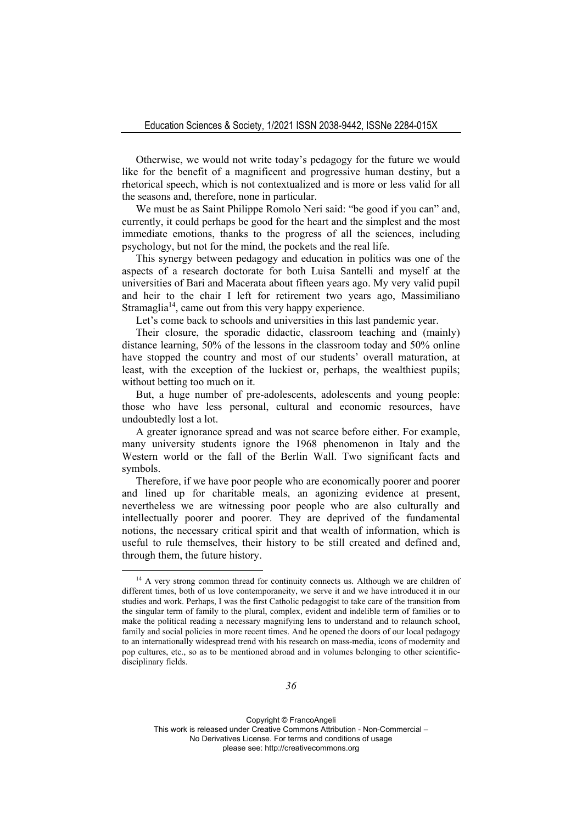Otherwise, we would not write today's pedagogy for the future we would like for the benefit of a magnificent and progressive human destiny, but a rhetorical speech, which is not contextualized and is more or less valid for all the seasons and, therefore, none in particular.

We must be as Saint Philippe Romolo Neri said: "be good if you can" and, currently, it could perhaps be good for the heart and the simplest and the most immediate emotions, thanks to the progress of all the sciences, including psychology, but not for the mind, the pockets and the real life.

This synergy between pedagogy and education in politics was one of the aspects of a research doctorate for both Luisa Santelli and myself at the universities of Bari and Macerata about fifteen years ago. My very valid pupil and heir to the chair I left for retirement two years ago, Massimiliano Stramaglia<sup>14</sup>, came out from this very happy experience.

Let's come back to schools and universities in this last pandemic year.

Their closure, the sporadic didactic, classroom teaching and (mainly) distance learning, 50% of the lessons in the classroom today and 50% online have stopped the country and most of our students' overall maturation, at least, with the exception of the luckiest or, perhaps, the wealthiest pupils; without betting too much on it.

But, a huge number of pre-adolescents, adolescents and young people: those who have less personal, cultural and economic resources, have undoubtedly lost a lot.

A greater ignorance spread and was not scarce before either. For example, many university students ignore the 1968 phenomenon in Italy and the Western world or the fall of the Berlin Wall. Two significant facts and symbols.

Therefore, if we have poor people who are economically poorer and poorer and lined up for charitable meals, an agonizing evidence at present, nevertheless we are witnessing poor people who are also culturally and intellectually poorer and poorer. They are deprived of the fundamental notions, the necessary critical spirit and that wealth of information, which is useful to rule themselves, their history to be still created and defined and, through them, the future history.

<sup>&</sup>lt;sup>14</sup> A very strong common thread for continuity connects us. Although we are children of different times, both of us love contemporaneity, we serve it and we have introduced it in our studies and work. Perhaps, I was the first Catholic pedagogist to take care of the transition from the singular term of family to the plural, complex, evident and indelible term of families or to make the political reading a necessary magnifying lens to understand and to relaunch school, family and social policies in more recent times. And he opened the doors of our local pedagogy to an internationally widespread trend with his research on mass-media, icons of modernity and pop cultures, etc., so as to be mentioned abroad and in volumes belonging to other scientificdisciplinary fields.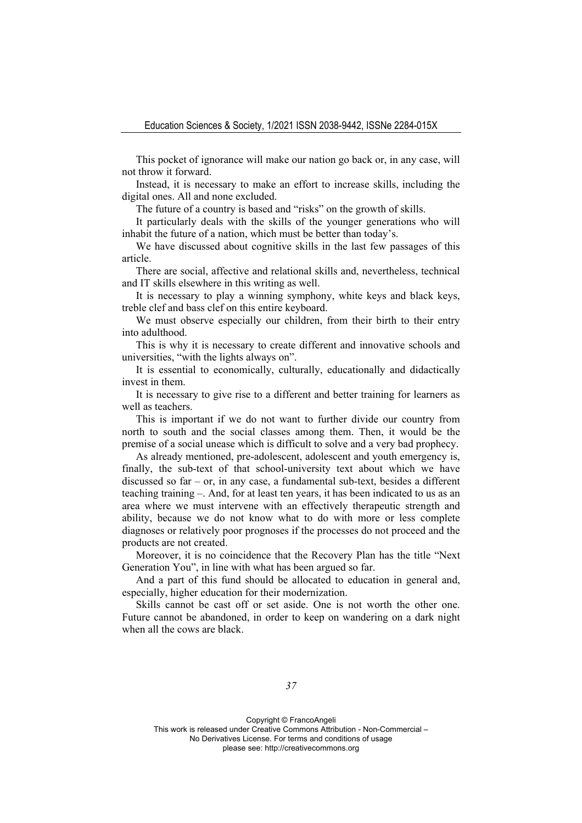This pocket of ignorance will make our nation go back or, in any case, will not throw it forward.

Instead, it is necessary to make an effort to increase skills, including the digital ones. All and none excluded.

The future of a country is based and "risks" on the growth of skills.

It particularly deals with the skills of the younger generations who will inhabit the future of a nation, which must be better than today's.

We have discussed about cognitive skills in the last few passages of this article.

There are social, affective and relational skills and, nevertheless, technical and IT skills elsewhere in this writing as well.

It is necessary to play a winning symphony, white keys and black keys, treble clef and bass clef on this entire keyboard.

We must observe especially our children, from their birth to their entry into adulthood.

This is why it is necessary to create different and innovative schools and universities, "with the lights always on".

It is essential to economically, culturally, educationally and didactically invest in them.

It is necessary to give rise to a different and better training for learners as well as teachers.

This is important if we do not want to further divide our country from north to south and the social classes among them. Then, it would be the premise of a social unease which is difficult to solve and a very bad prophecy.

As already mentioned, pre-adolescent, adolescent and youth emergency is, finally, the sub-text of that school-university text about which we have discussed so far – or, in any case, a fundamental sub-text, besides a different teaching training –. And, for at least ten years, it has been indicated to us as an area where we must intervene with an effectively therapeutic strength and ability, because we do not know what to do with more or less complete diagnoses or relatively poor prognoses if the processes do not proceed and the products are not created.

Moreover, it is no coincidence that the Recovery Plan has the title "Next Generation You", in line with what has been argued so far.

And a part of this fund should be allocated to education in general and, especially, higher education for their modernization.

Skills cannot be cast off or set aside. One is not worth the other one. Future cannot be abandoned, in order to keep on wandering on a dark night when all the cows are black.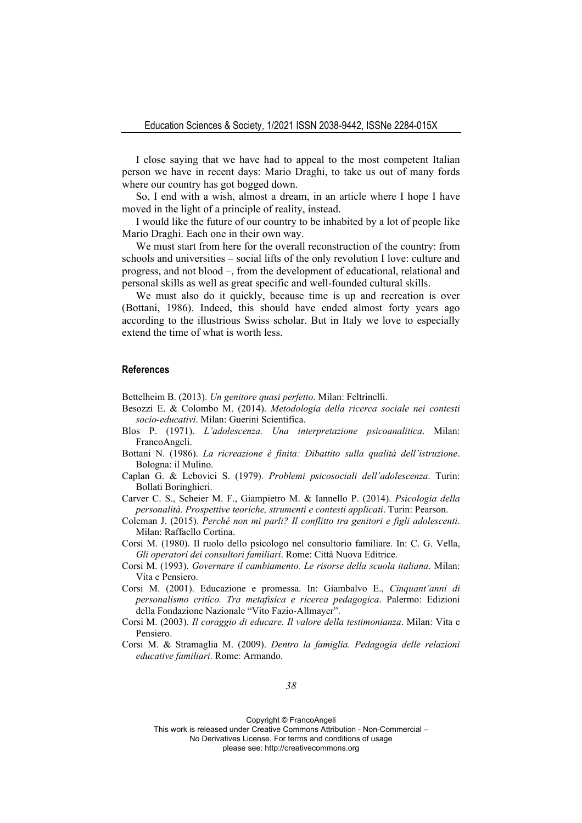I close saying that we have had to appeal to the most competent Italian person we have in recent days: Mario Draghi, to take us out of many fords where our country has got bogged down.

So, I end with a wish, almost a dream, in an article where I hope I have moved in the light of a principle of reality, instead.

I would like the future of our country to be inhabited by a lot of people like Mario Draghi. Each one in their own way.

We must start from here for the overall reconstruction of the country: from schools and universities – social lifts of the only revolution I love: culture and progress, and not blood –, from the development of educational, relational and personal skills as well as great specific and well-founded cultural skills.

We must also do it quickly, because time is up and recreation is over (Bottani, 1986). Indeed, this should have ended almost forty years ago according to the illustrious Swiss scholar. But in Italy we love to especially extend the time of what is worth less.

### **References**

Bettelheim B. (2013). *Un genitore quasi perfetto*. Milan: Feltrinelli.

- Besozzi E. & Colombo M. (2014). *Metodologia della ricerca sociale nei contesti socio-educativi*. Milan: Guerini Scientifica.
- Blos P. (1971). *L'adolescenza. Una interpretazione psicoanalitica*. Milan: FrancoAngeli.
- Bottani N. (1986). *La ricreazione è finita: Dibattito sulla qualità dell'istruzione*. Bologna: il Mulino.
- Caplan G. & Lebovici S. (1979). *Problemi psicosociali dell'adolescenza*. Turin: Bollati Boringhieri.
- Carver C. S., Scheier M. F., Giampietro M. & Iannello P. (2014). *Psicologia della personalità. Prospettive teoriche, strumenti e contesti applicati*. Turin: Pearson.

Coleman J. (2015). *Perché non mi parli? Il conflitto tra genitori e figli adolescenti*. Milan: Raffaello Cortina.

Corsi M. (1980). Il ruolo dello psicologo nel consultorio familiare. In: C. G. Vella, *Gli operatori dei consultori familiari*. Rome: Città Nuova Editrice.

Corsi M. (1993). *Governare il cambiamento. Le risorse della scuola italiana*. Milan: Vita e Pensiero.

Corsi M. (2001). Educazione e promessa. In: Giambalvo E., *Cinquant'anni di personalismo critico. Tra metafisica e ricerca pedagogica*. Palermo: Edizioni della Fondazione Nazionale "Vito Fazio-Allmayer".

Corsi M. (2003). *Il coraggio di educare. Il valore della testimonianza*. Milan: Vita e Pensiero.

Corsi M. & Stramaglia M. (2009). *Dentro la famiglia. Pedagogia delle relazioni educative familiari*. Rome: Armando.

Copyright © FrancoAngeli

This work is released under Creative Commons Attribution - Non-Commercial –

No Derivatives License. For terms and conditions of usage

please see: http://creativecommons.org